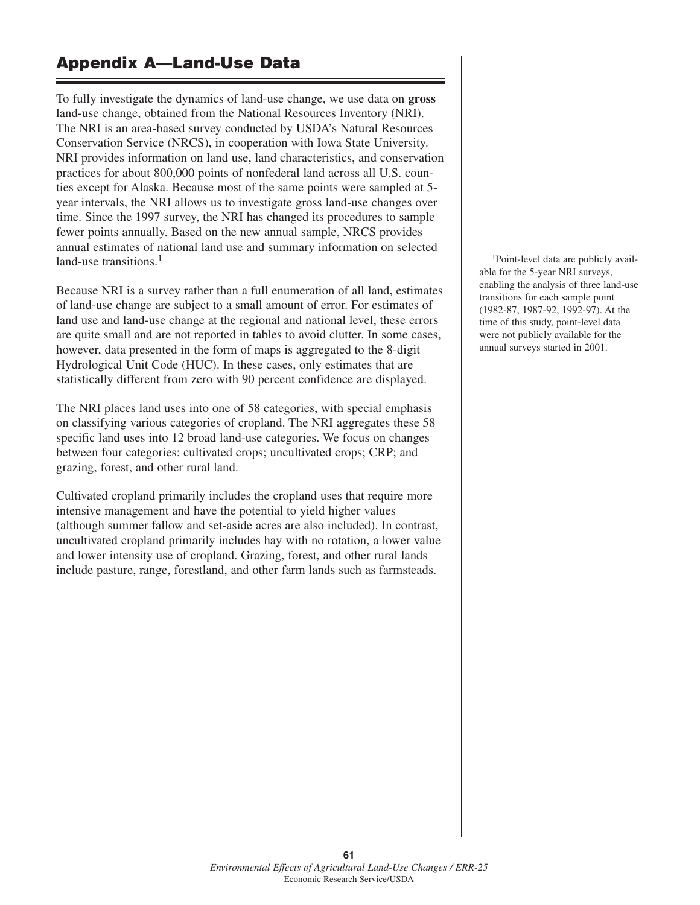# **Appendix A—Land-Use Data**

To fully investigate the dynamics of land-use change, we use data on **gross** land-use change, obtained from the National Resources Inventory (NRI). The NRI is an area-based survey conducted by USDA's Natural Resources Conservation Service (NRCS), in cooperation with Iowa State University. NRI provides information on land use, land characteristics, and conservation practices for about 800,000 points of nonfederal land across all U.S. counties except for Alaska. Because most of the same points were sampled at 5 year intervals, the NRI allows us to investigate gross land-use changes over time. Since the 1997 survey, the NRI has changed its procedures to sample fewer points annually. Based on the new annual sample, NRCS provides annual estimates of national land use and summary information on selected land-use transitions.<sup>1</sup>

Because NRI is a survey rather than a full enumeration of all land, estimates of land-use change are subject to a small amount of error. For estimates of land use and land-use change at the regional and national level, these errors are quite small and are not reported in tables to avoid clutter. In some cases, however, data presented in the form of maps is aggregated to the 8-digit Hydrological Unit Code (HUC). In these cases, only estimates that are statistically different from zero with 90 percent confidence are displayed.

The NRI places land uses into one of 58 categories, with special emphasis on classifying various categories of cropland. The NRI aggregates these 58 specific land uses into 12 broad land-use categories. We focus on changes between four categories: cultivated crops; uncultivated crops; CRP; and grazing, forest, and other rural land.

Cultivated cropland primarily includes the cropland uses that require more intensive management and have the potential to yield higher values (although summer fallow and set-aside acres are also included). In contrast, uncultivated cropland primarily includes hay with no rotation, a lower value and lower intensity use of cropland. Grazing, forest, and other rural lands include pasture, range, forestland, and other farm lands such as farmsteads.

1Point-level data are publicly available for the 5-year NRI surveys, enabling the analysis of three land-use transitions for each sample point (1982-87, 1987-92, 1992-97). At the time of this study, point-level data were not publicly available for the annual surveys started in 2001.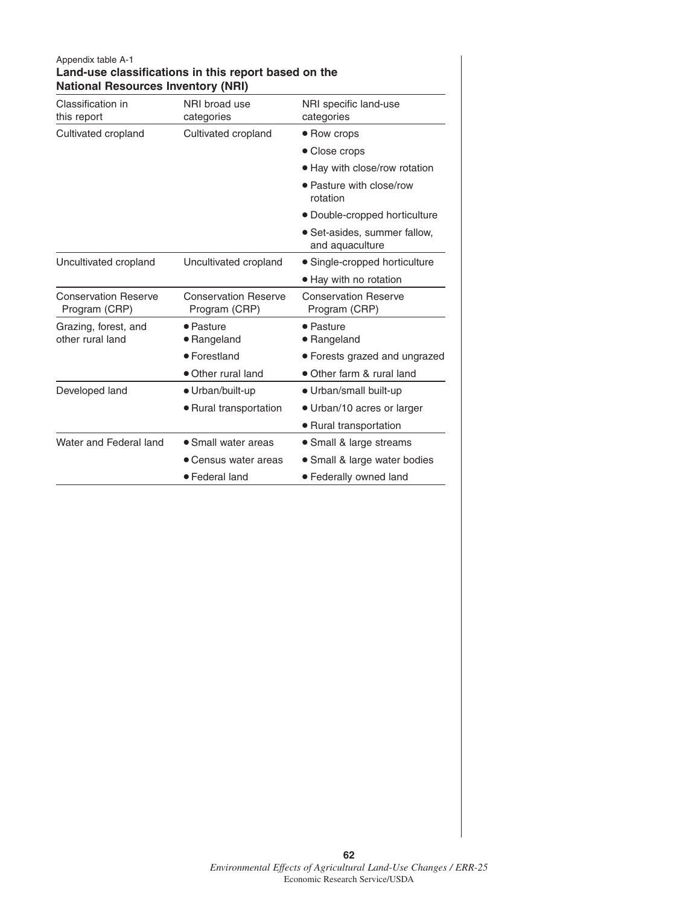| Appendix table A-1<br><b>National Resources Inventory (NRI)</b> | Land-use classifications in this report based on the |                                                 |  |  |
|-----------------------------------------------------------------|------------------------------------------------------|-------------------------------------------------|--|--|
| Classification in<br>this report                                | NRI broad use<br>categories                          | NRI specific land-use<br>categories             |  |  |
| Cultivated cropland                                             | Cultivated cropland                                  | • Row crops                                     |  |  |
|                                                                 |                                                      | • Close crops                                   |  |  |
|                                                                 |                                                      | • Hay with close/row rotation                   |  |  |
|                                                                 |                                                      | • Pasture with close/row<br>rotation            |  |  |
|                                                                 |                                                      | • Double-cropped horticulture                   |  |  |
|                                                                 |                                                      | • Set-asides, summer fallow,<br>and aquaculture |  |  |
| Uncultivated cropland                                           | Uncultivated cropland                                | • Single-cropped horticulture                   |  |  |
|                                                                 |                                                      | • Hay with no rotation                          |  |  |
| <b>Conservation Reserve</b><br>Program (CRP)                    | <b>Conservation Reserve</b><br>Program (CRP)         | <b>Conservation Reserve</b><br>Program (CRP)    |  |  |
| Grazing, forest, and<br>other rural land                        | • Pasture<br>• Rangeland                             | • Pasture<br>• Rangeland                        |  |  |
|                                                                 | • Forestland                                         | • Forests grazed and ungrazed                   |  |  |
|                                                                 | • Other rural land                                   | • Other farm & rural land                       |  |  |
| Developed land                                                  | • Urban/built-up                                     | • Urban/small built-up                          |  |  |
|                                                                 | • Rural transportation                               | • Urban/10 acres or larger                      |  |  |
|                                                                 |                                                      | • Rural transportation                          |  |  |
| Water and Federal land                                          | • Small water areas                                  | • Small & large streams                         |  |  |
|                                                                 | • Census water areas                                 | • Small & large water bodies                    |  |  |
|                                                                 | • Federal land                                       | • Federally owned land                          |  |  |

#### **62** *Environmental Effects of Agricultural Land-Use Changes / ERR-25* Economic Research Service/USDA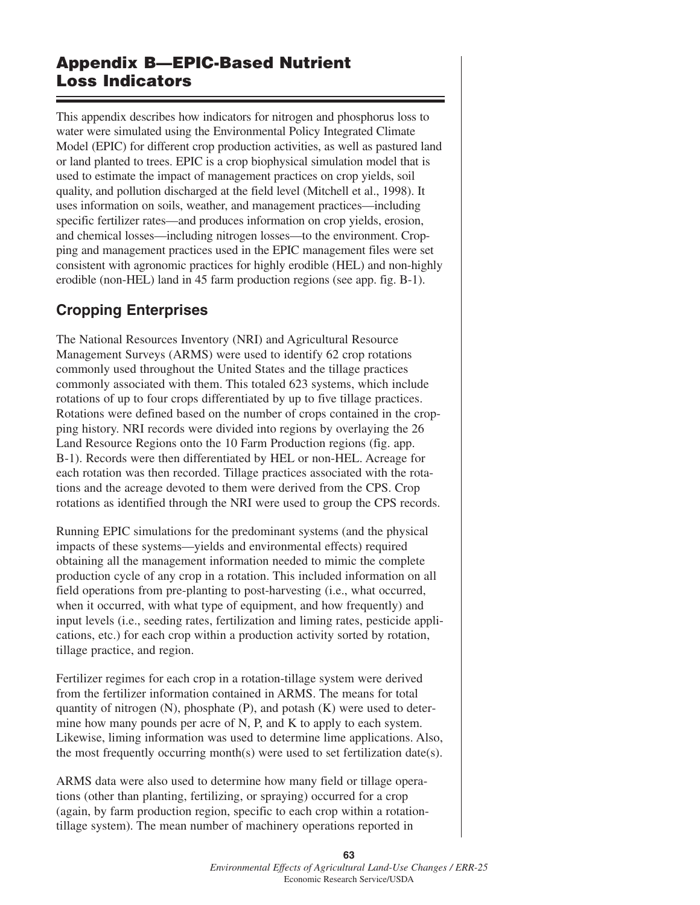# **Appendix B—EPIC-Based Nutrient Loss Indicators**

This appendix describes how indicators for nitrogen and phosphorus loss to water were simulated using the Environmental Policy Integrated Climate Model (EPIC) for different crop production activities, as well as pastured land or land planted to trees. EPIC is a crop biophysical simulation model that is used to estimate the impact of management practices on crop yields, soil quality, and pollution discharged at the field level (Mitchell et al., 1998). It uses information on soils, weather, and management practices—including specific fertilizer rates—and produces information on crop yields, erosion, and chemical losses—including nitrogen losses—to the environment. Cropping and management practices used in the EPIC management files were set consistent with agronomic practices for highly erodible (HEL) and non-highly erodible (non-HEL) land in 45 farm production regions (see app. fig. B-1).

# **Cropping Enterprises**

The National Resources Inventory (NRI) and Agricultural Resource Management Surveys (ARMS) were used to identify 62 crop rotations commonly used throughout the United States and the tillage practices commonly associated with them. This totaled 623 systems, which include rotations of up to four crops differentiated by up to five tillage practices. Rotations were defined based on the number of crops contained in the cropping history. NRI records were divided into regions by overlaying the 26 Land Resource Regions onto the 10 Farm Production regions (fig. app. B-1). Records were then differentiated by HEL or non-HEL. Acreage for each rotation was then recorded. Tillage practices associated with the rotations and the acreage devoted to them were derived from the CPS. Crop rotations as identified through the NRI were used to group the CPS records.

Running EPIC simulations for the predominant systems (and the physical impacts of these systems—yields and environmental effects) required obtaining all the management information needed to mimic the complete production cycle of any crop in a rotation. This included information on all field operations from pre-planting to post-harvesting (i.e., what occurred, when it occurred, with what type of equipment, and how frequently) and input levels (i.e., seeding rates, fertilization and liming rates, pesticide applications, etc.) for each crop within a production activity sorted by rotation, tillage practice, and region.

Fertilizer regimes for each crop in a rotation-tillage system were derived from the fertilizer information contained in ARMS. The means for total quantity of nitrogen  $(N)$ , phosphate  $(P)$ , and potash  $(K)$  were used to determine how many pounds per acre of N, P, and K to apply to each system. Likewise, liming information was used to determine lime applications. Also, the most frequently occurring month(s) were used to set fertilization date(s).

ARMS data were also used to determine how many field or tillage operations (other than planting, fertilizing, or spraying) occurred for a crop (again, by farm production region, specific to each crop within a rotationtillage system). The mean number of machinery operations reported in

> **63** *Environmental Effects of Agricultural Land-Use Changes / ERR-25* Economic Research Service/USDA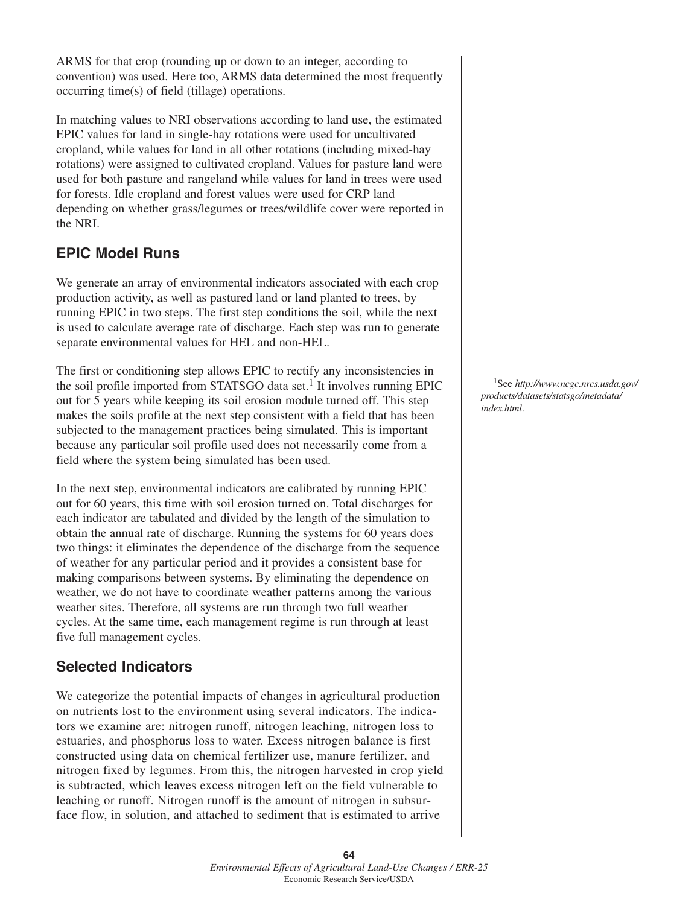ARMS for that crop (rounding up or down to an integer, according to convention) was used. Here too, ARMS data determined the most frequently occurring time(s) of field (tillage) operations.

In matching values to NRI observations according to land use, the estimated EPIC values for land in single-hay rotations were used for uncultivated cropland, while values for land in all other rotations (including mixed-hay rotations) were assigned to cultivated cropland. Values for pasture land were used for both pasture and rangeland while values for land in trees were used for forests. Idle cropland and forest values were used for CRP land depending on whether grass/legumes or trees/wildlife cover were reported in the NRI.

## **EPIC Model Runs**

We generate an array of environmental indicators associated with each crop production activity, as well as pastured land or land planted to trees, by running EPIC in two steps. The first step conditions the soil, while the next is used to calculate average rate of discharge. Each step was run to generate separate environmental values for HEL and non-HEL.

The first or conditioning step allows EPIC to rectify any inconsistencies in the soil profile imported from STATSGO data set.<sup>1</sup> It involves running EPIC out for 5 years while keeping its soil erosion module turned off. This step makes the soils profile at the next step consistent with a field that has been subjected to the management practices being simulated. This is important because any particular soil profile used does not necessarily come from a field where the system being simulated has been used.

In the next step, environmental indicators are calibrated by running EPIC out for 60 years, this time with soil erosion turned on. Total discharges for each indicator are tabulated and divided by the length of the simulation to obtain the annual rate of discharge. Running the systems for 60 years does two things: it eliminates the dependence of the discharge from the sequence of weather for any particular period and it provides a consistent base for making comparisons between systems. By eliminating the dependence on weather, we do not have to coordinate weather patterns among the various weather sites. Therefore, all systems are run through two full weather cycles. At the same time, each management regime is run through at least five full management cycles.

### **Selected Indicators**

We categorize the potential impacts of changes in agricultural production on nutrients lost to the environment using several indicators. The indicators we examine are: nitrogen runoff, nitrogen leaching, nitrogen loss to estuaries, and phosphorus loss to water. Excess nitrogen balance is first constructed using data on chemical fertilizer use, manure fertilizer, and nitrogen fixed by legumes. From this, the nitrogen harvested in crop yield is subtracted, which leaves excess nitrogen left on the field vulnerable to leaching or runoff. Nitrogen runoff is the amount of nitrogen in subsurface flow, in solution, and attached to sediment that is estimated to arrive

1See *http://www.ncgc.nrcs.usda.gov/ products/datasets/statsgo/metadata/ index.html*.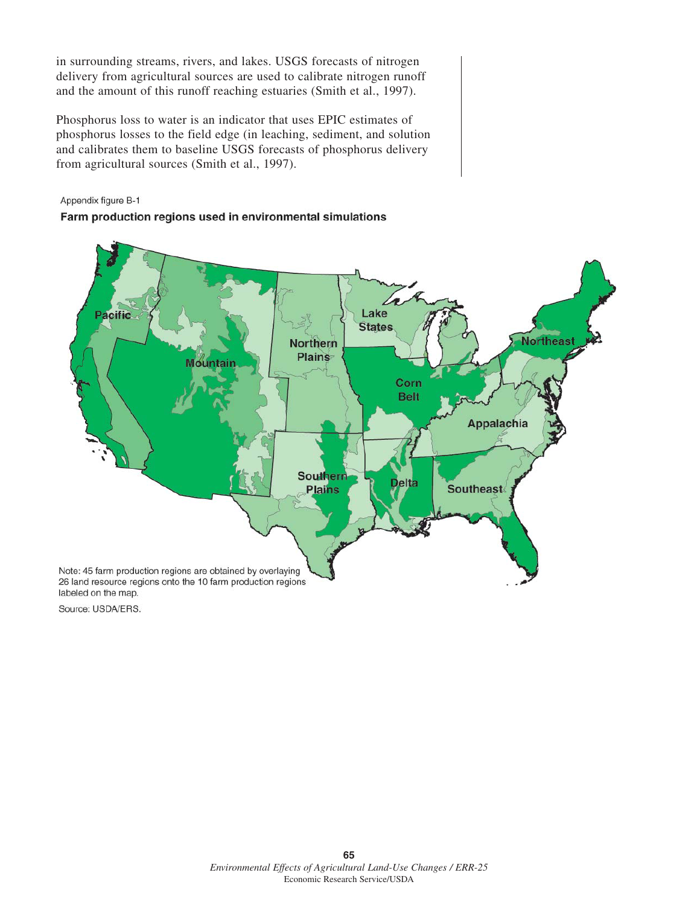in surrounding streams, rivers, and lakes. USGS forecasts of nitrogen delivery from agricultural sources are used to calibrate nitrogen runoff and the amount of this runoff reaching estuaries (Smith et al., 1997).

Phosphorus loss to water is an indicator that uses EPIC estimates of phosphorus losses to the field edge (in leaching, sediment, and solution and calibrates them to baseline USGS forecasts of phosphorus delivery from agricultural sources (Smith et al., 1997).

#### Appendix figure B-1

#### Farm production regions used in environmental simulations



Source: USDA/ERS.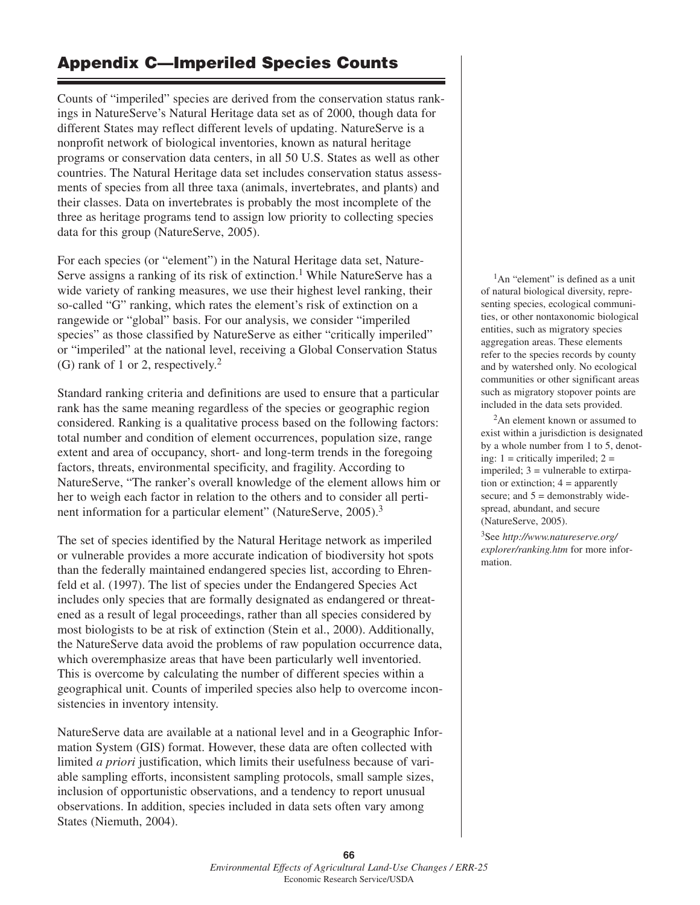# **Appendix C—Imperiled Species Counts**

Counts of "imperiled" species are derived from the conservation status rankings in NatureServe's Natural Heritage data set as of 2000, though data for different States may reflect different levels of updating. NatureServe is a nonprofit network of biological inventories, known as natural heritage programs or conservation data centers, in all 50 U.S. States as well as other countries. The Natural Heritage data set includes conservation status assessments of species from all three taxa (animals, invertebrates, and plants) and their classes. Data on invertebrates is probably the most incomplete of the three as heritage programs tend to assign low priority to collecting species data for this group (NatureServe, 2005).

For each species (or "element") in the Natural Heritage data set, Nature-Serve assigns a ranking of its risk of extinction.<sup>1</sup> While NatureServe has a wide variety of ranking measures, we use their highest level ranking, their so-called "G" ranking, which rates the element's risk of extinction on a rangewide or "global" basis. For our analysis, we consider "imperiled species" as those classified by NatureServe as either "critically imperiled" or "imperiled" at the national level, receiving a Global Conservation Status (G) rank of 1 or 2, respectively.2

Standard ranking criteria and definitions are used to ensure that a particular rank has the same meaning regardless of the species or geographic region considered. Ranking is a qualitative process based on the following factors: total number and condition of element occurrences, population size, range extent and area of occupancy, short- and long-term trends in the foregoing factors, threats, environmental specificity, and fragility. According to NatureServe, "The ranker's overall knowledge of the element allows him or her to weigh each factor in relation to the others and to consider all pertinent information for a particular element" (NatureServe, 2005).3

The set of species identified by the Natural Heritage network as imperiled or vulnerable provides a more accurate indication of biodiversity hot spots than the federally maintained endangered species list, according to Ehrenfeld et al. (1997). The list of species under the Endangered Species Act includes only species that are formally designated as endangered or threatened as a result of legal proceedings, rather than all species considered by most biologists to be at risk of extinction (Stein et al., 2000). Additionally, the NatureServe data avoid the problems of raw population occurrence data, which overemphasize areas that have been particularly well inventoried. This is overcome by calculating the number of different species within a geographical unit. Counts of imperiled species also help to overcome inconsistencies in inventory intensity.

NatureServe data are available at a national level and in a Geographic Information System (GIS) format. However, these data are often collected with limited *a priori* justification, which limits their usefulness because of variable sampling efforts, inconsistent sampling protocols, small sample sizes, inclusion of opportunistic observations, and a tendency to report unusual observations. In addition, species included in data sets often vary among States (Niemuth, 2004).

<sup>1</sup>An "element" is defined as a unit of natural biological diversity, representing species, ecological communities, or other nontaxonomic biological entities, such as migratory species aggregation areas. These elements refer to the species records by county and by watershed only. No ecological communities or other significant areas such as migratory stopover points are included in the data sets provided.

2An element known or assumed to exist within a jurisdiction is designated by a whole number from 1 to 5, denoting:  $1 =$  critically imperiled;  $2 =$ imperiled;  $3 =$  vulnerable to extirpation or extinction;  $4 =$  apparently secure; and 5 = demonstrably widespread, abundant, and secure (NatureServe, 2005).

3See *http://www.natureserve.org/ explorer/ranking.htm* for more information.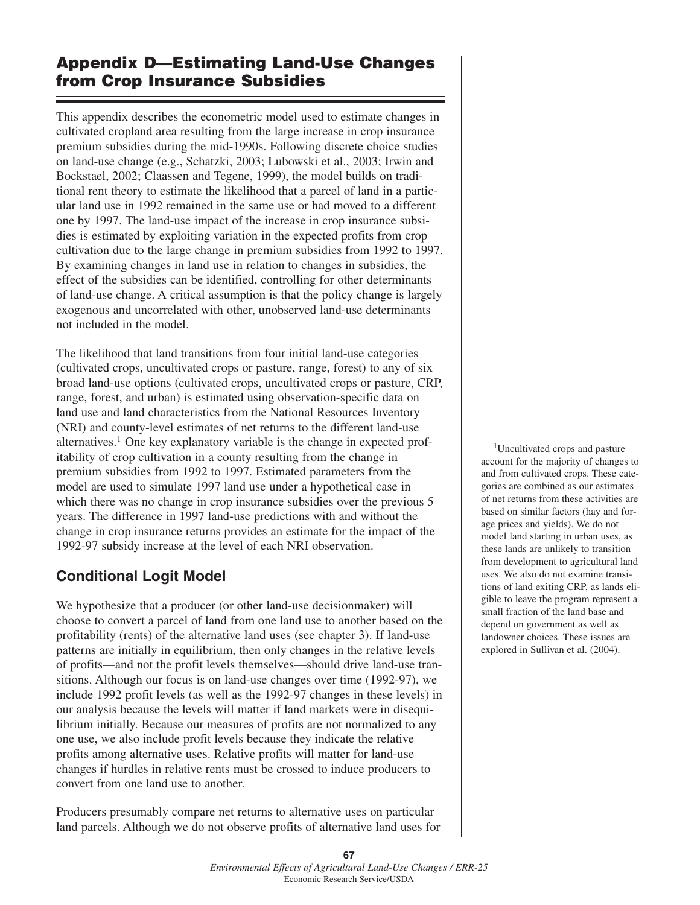# **Appendix D—Estimating Land-Use Changes from Crop Insurance Subsidies**

This appendix describes the econometric model used to estimate changes in cultivated cropland area resulting from the large increase in crop insurance premium subsidies during the mid-1990s. Following discrete choice studies on land-use change (e.g., Schatzki, 2003; Lubowski et al., 2003; Irwin and Bockstael, 2002; Claassen and Tegene, 1999), the model builds on traditional rent theory to estimate the likelihood that a parcel of land in a particular land use in 1992 remained in the same use or had moved to a different one by 1997. The land-use impact of the increase in crop insurance subsidies is estimated by exploiting variation in the expected profits from crop cultivation due to the large change in premium subsidies from 1992 to 1997. By examining changes in land use in relation to changes in subsidies, the effect of the subsidies can be identified, controlling for other determinants of land-use change. A critical assumption is that the policy change is largely exogenous and uncorrelated with other, unobserved land-use determinants not included in the model.

The likelihood that land transitions from four initial land-use categories (cultivated crops, uncultivated crops or pasture, range, forest) to any of six broad land-use options (cultivated crops, uncultivated crops or pasture, CRP, range, forest, and urban) is estimated using observation-specific data on land use and land characteristics from the National Resources Inventory (NRI) and county-level estimates of net returns to the different land-use alternatives.<sup>1</sup> One key explanatory variable is the change in expected profitability of crop cultivation in a county resulting from the change in premium subsidies from 1992 to 1997. Estimated parameters from the model are used to simulate 1997 land use under a hypothetical case in which there was no change in crop insurance subsidies over the previous 5 years. The difference in 1997 land-use predictions with and without the change in crop insurance returns provides an estimate for the impact of the 1992-97 subsidy increase at the level of each NRI observation.

## **Conditional Logit Model**

We hypothesize that a producer (or other land-use decisionmaker) will choose to convert a parcel of land from one land use to another based on the profitability (rents) of the alternative land uses (see chapter 3). If land-use patterns are initially in equilibrium, then only changes in the relative levels of profits—and not the profit levels themselves—should drive land-use transitions. Although our focus is on land-use changes over time (1992-97), we include 1992 profit levels (as well as the 1992-97 changes in these levels) in our analysis because the levels will matter if land markets were in disequilibrium initially. Because our measures of profits are not normalized to any one use, we also include profit levels because they indicate the relative profits among alternative uses. Relative profits will matter for land-use changes if hurdles in relative rents must be crossed to induce producers to convert from one land use to another.

Producers presumably compare net returns to alternative uses on particular land parcels. Although we do not observe profits of alternative land uses for

1Uncultivated crops and pasture account for the majority of changes to and from cultivated crops. These categories are combined as our estimates of net returns from these activities are based on similar factors (hay and forage prices and yields). We do not model land starting in urban uses, as these lands are unlikely to transition from development to agricultural land uses. We also do not examine transitions of land exiting CRP, as lands eligible to leave the program represent a small fraction of the land base and depend on government as well as landowner choices. These issues are explored in Sullivan et al. (2004).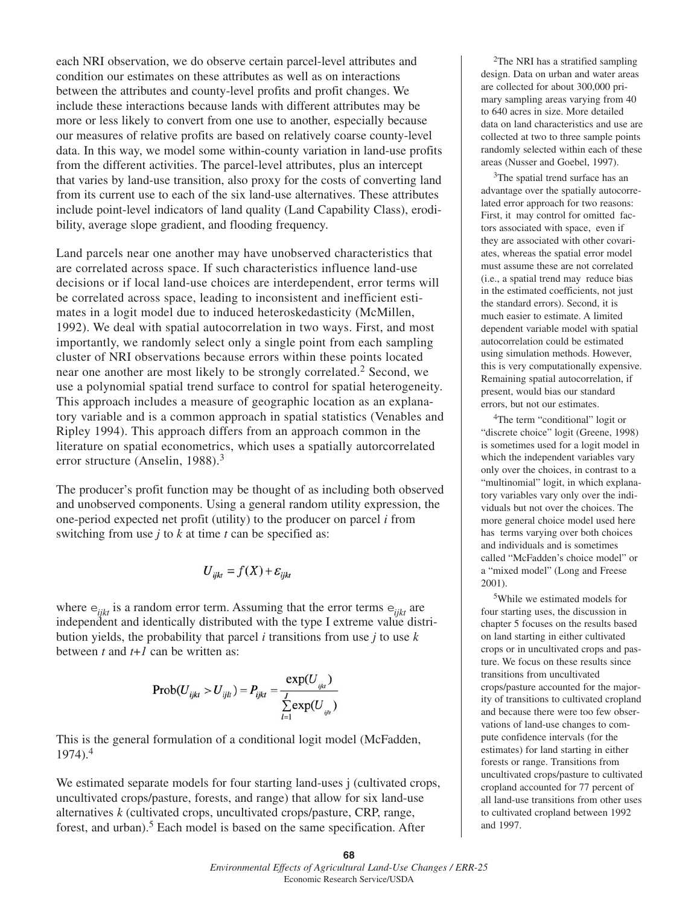each NRI observation, we do observe certain parcel-level attributes and condition our estimates on these attributes as well as on interactions between the attributes and county-level profits and profit changes. We include these interactions because lands with different attributes may be more or less likely to convert from one use to another, especially because our measures of relative profits are based on relatively coarse county-level data. In this way, we model some within-county variation in land-use profits from the different activities. The parcel-level attributes, plus an intercept that varies by land-use transition, also proxy for the costs of converting land from its current use to each of the six land-use alternatives. These attributes include point-level indicators of land quality (Land Capability Class), erodibility, average slope gradient, and flooding frequency.

Land parcels near one another may have unobserved characteristics that are correlated across space. If such characteristics influence land-use decisions or if local land-use choices are interdependent, error terms will be correlated across space, leading to inconsistent and inefficient estimates in a logit model due to induced heteroskedasticity (McMillen, 1992). We deal with spatial autocorrelation in two ways. First, and most importantly, we randomly select only a single point from each sampling cluster of NRI observations because errors within these points located near one another are most likely to be strongly correlated.<sup>2</sup> Second, we use a polynomial spatial trend surface to control for spatial heterogeneity. This approach includes a measure of geographic location as an explanatory variable and is a common approach in spatial statistics (Venables and Ripley 1994). This approach differs from an approach common in the literature on spatial econometrics, which uses a spatially autorcorrelated error structure (Anselin, 1988).<sup>3</sup>

The producer's profit function may be thought of as including both observed and unobserved components. Using a general random utility expression, the one-period expected net profit (utility) to the producer on parcel *i* from switching from use *j* to *k* at time *t* can be specified as:

$$
U_{ijkt} = f(X) + \varepsilon_{ijkt}
$$

where  $e_{ijk}$  is a random error term. Assuming that the error terms  $e_{ijk}$  are independent and identically distributed with the type I extreme value distribution yields, the probability that parcel *i* transitions from use *j* to use *k* between *t* and *t*+*1* can be written as:

$$
Prob(U_{ijkt} > U_{ijlt}) = P_{ijkt} = \frac{\exp(U_{ijkt})}{\sum_{l=1}^{J} \exp(U_{ijt})}
$$

This is the general formulation of a conditional logit model (McFadden, 1974).<sup>4</sup>

We estimated separate models for four starting land-uses j (cultivated crops, uncultivated crops/pasture, forests, and range) that allow for six land-use alternatives *k* (cultivated crops, uncultivated crops/pasture, CRP, range, forest, and urban).<sup>5</sup> Each model is based on the same specification. After

2The NRI has a stratified sampling design. Data on urban and water areas are collected for about 300,000 primary sampling areas varying from 40 to 640 acres in size. More detailed data on land characteristics and use are collected at two to three sample points randomly selected within each of these areas (Nusser and Goebel, 1997).

<sup>3</sup>The spatial trend surface has an advantage over the spatially autocorrelated error approach for two reasons: First, it may control for omitted factors associated with space, even if they are associated with other covariates, whereas the spatial error model must assume these are not correlated (i.e., a spatial trend may reduce bias in the estimated coefficients, not just the standard errors). Second, it is much easier to estimate. A limited dependent variable model with spatial autocorrelation could be estimated using simulation methods. However, this is very computationally expensive. Remaining spatial autocorrelation, if present, would bias our standard errors, but not our estimates.

<sup>4</sup>The term "conditional" logit or "discrete choice" logit (Greene, 1998) is sometimes used for a logit model in which the independent variables vary only over the choices, in contrast to a "multinomial" logit, in which explanatory variables vary only over the individuals but not over the choices. The more general choice model used here has terms varying over both choices and individuals and is sometimes called "McFadden's choice model" or a "mixed model" (Long and Freese 2001).

5While we estimated models for four starting uses, the discussion in chapter 5 focuses on the results based on land starting in either cultivated crops or in uncultivated crops and pasture. We focus on these results since transitions from uncultivated crops/pasture accounted for the majority of transitions to cultivated cropland and because there were too few observations of land-use changes to compute confidence intervals (for the estimates) for land starting in either forests or range. Transitions from uncultivated crops/pasture to cultivated cropland accounted for 77 percent of all land-use transitions from other uses to cultivated cropland between 1992 and 1997.

#### **68** *Environmental Effects of Agricultural Land-Use Changes / ERR-25* Economic Research Service/USDA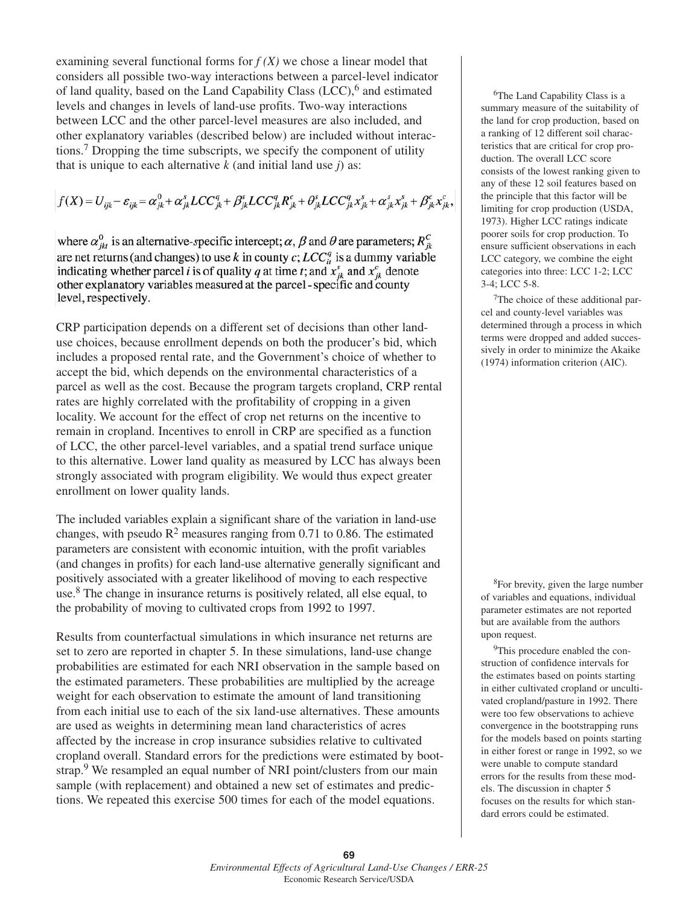examining several functional forms for  $f(X)$  we chose a linear model that considers all possible two-way interactions between a parcel-level indicator of land quality, based on the Land Capability Class  $(LCC)$ ,  $6$  and estimated levels and changes in levels of land-use profits. Two-way interactions between LCC and the other parcel-level measures are also included, and other explanatory variables (described below) are included without interactions.<sup>7</sup> Dropping the time subscripts, we specify the component of utility that is unique to each alternative *k* (and initial land use *j*) as:

$$
f(X) = U_{ijk} - \varepsilon_{ijk} = \alpha_{jk}^0 + \alpha_{jk}^s LCC_{jk}^q + \beta_{jk}^s LCC_{jk}^q R_{jk}^c + \theta_{jk}^s LCC_{jk}^q x_{jk}^s + \alpha_{jk}^s x_{jk}^s + \beta_{jk}^c x_{jk}^c,
$$

where  $\alpha_{ik}^0$  is an alternative-specific intercept;  $\alpha$ ,  $\beta$  and  $\theta$  are parameters;  $R_{ik}^C$ are net returns (and changes) to use k in county c;  $LCC_{ii}^{q}$  is a dummy variable indicating whether parcel i is of quality q at time t; and  $x_{jk}^{c}$  and  $x_{jk}^{c}$  denote other explanatory variables measured at the parcel - specific and county level, respectively.

CRP participation depends on a different set of decisions than other landuse choices, because enrollment depends on both the producer's bid, which includes a proposed rental rate, and the Government's choice of whether to accept the bid, which depends on the environmental characteristics of a parcel as well as the cost. Because the program targets cropland, CRP rental rates are highly correlated with the profitability of cropping in a given locality. We account for the effect of crop net returns on the incentive to remain in cropland. Incentives to enroll in CRP are specified as a function of LCC, the other parcel-level variables, and a spatial trend surface unique to this alternative. Lower land quality as measured by LCC has always been strongly associated with program eligibility. We would thus expect greater enrollment on lower quality lands.

The included variables explain a significant share of the variation in land-use changes, with pseudo  $\mathbb{R}^2$  measures ranging from 0.71 to 0.86. The estimated parameters are consistent with economic intuition, with the profit variables (and changes in profits) for each land-use alternative generally significant and positively associated with a greater likelihood of moving to each respective use.8 The change in insurance returns is positively related, all else equal, to the probability of moving to cultivated crops from 1992 to 1997.

Results from counterfactual simulations in which insurance net returns are set to zero are reported in chapter 5. In these simulations, land-use change probabilities are estimated for each NRI observation in the sample based on the estimated parameters. These probabilities are multiplied by the acreage weight for each observation to estimate the amount of land transitioning from each initial use to each of the six land-use alternatives. These amounts are used as weights in determining mean land characteristics of acres affected by the increase in crop insurance subsidies relative to cultivated cropland overall. Standard errors for the predictions were estimated by bootstrap.<sup>9</sup> We resampled an equal number of NRI point/clusters from our main sample (with replacement) and obtained a new set of estimates and predictions. We repeated this exercise 500 times for each of the model equations.

<sup>6</sup>The Land Capability Class is a summary measure of the suitability of the land for crop production, based on a ranking of 12 different soil characteristics that are critical for crop production. The overall LCC score consists of the lowest ranking given to any of these 12 soil features based on the principle that this factor will be limiting for crop production (USDA, 1973). Higher LCC ratings indicate poorer soils for crop production. To ensure sufficient observations in each LCC category, we combine the eight categories into three: LCC 1-2; LCC 3-4; LCC 5-8.

7The choice of these additional parcel and county-level variables was determined through a process in which terms were dropped and added successively in order to minimize the Akaike (1974) information criterion (AIC).

8For brevity, given the large number of variables and equations, individual parameter estimates are not reported but are available from the authors upon request.

<sup>9</sup>This procedure enabled the construction of confidence intervals for the estimates based on points starting in either cultivated cropland or uncultivated cropland/pasture in 1992. There were too few observations to achieve convergence in the bootstrapping runs for the models based on points starting in either forest or range in 1992, so we were unable to compute standard errors for the results from these models. The discussion in chapter 5 focuses on the results for which standard errors could be estimated.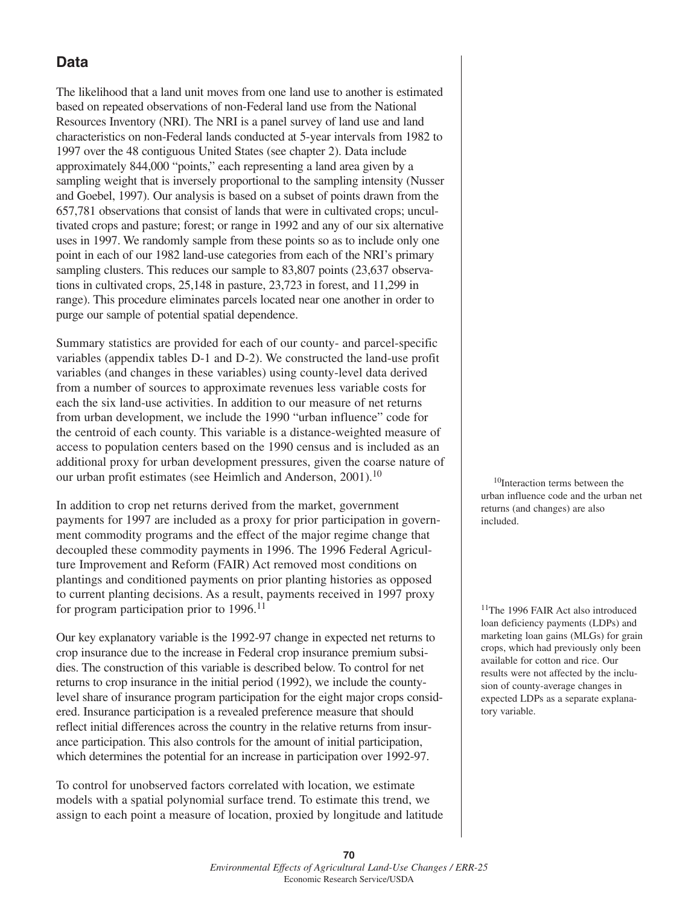### **Data**

The likelihood that a land unit moves from one land use to another is estimated based on repeated observations of non-Federal land use from the National Resources Inventory (NRI). The NRI is a panel survey of land use and land characteristics on non-Federal lands conducted at 5-year intervals from 1982 to 1997 over the 48 contiguous United States (see chapter 2). Data include approximately 844,000 "points," each representing a land area given by a sampling weight that is inversely proportional to the sampling intensity (Nusser and Goebel, 1997). Our analysis is based on a subset of points drawn from the 657,781 observations that consist of lands that were in cultivated crops; uncultivated crops and pasture; forest; or range in 1992 and any of our six alternative uses in 1997. We randomly sample from these points so as to include only one point in each of our 1982 land-use categories from each of the NRI's primary sampling clusters. This reduces our sample to 83,807 points (23,637 observations in cultivated crops, 25,148 in pasture, 23,723 in forest, and 11,299 in range). This procedure eliminates parcels located near one another in order to purge our sample of potential spatial dependence.

Summary statistics are provided for each of our county- and parcel-specific variables (appendix tables D-1 and D-2). We constructed the land-use profit variables (and changes in these variables) using county-level data derived from a number of sources to approximate revenues less variable costs for each the six land-use activities. In addition to our measure of net returns from urban development, we include the 1990 "urban influence" code for the centroid of each county. This variable is a distance-weighted measure of access to population centers based on the 1990 census and is included as an additional proxy for urban development pressures, given the coarse nature of our urban profit estimates (see Heimlich and Anderson, 2001).<sup>10</sup>

In addition to crop net returns derived from the market, government payments for 1997 are included as a proxy for prior participation in government commodity programs and the effect of the major regime change that decoupled these commodity payments in 1996. The 1996 Federal Agriculture Improvement and Reform (FAIR) Act removed most conditions on plantings and conditioned payments on prior planting histories as opposed to current planting decisions. As a result, payments received in 1997 proxy for program participation prior to 1996.<sup>11</sup>

Our key explanatory variable is the 1992-97 change in expected net returns to crop insurance due to the increase in Federal crop insurance premium subsidies. The construction of this variable is described below. To control for net returns to crop insurance in the initial period (1992), we include the countylevel share of insurance program participation for the eight major crops considered. Insurance participation is a revealed preference measure that should reflect initial differences across the country in the relative returns from insurance participation. This also controls for the amount of initial participation, which determines the potential for an increase in participation over 1992-97.

To control for unobserved factors correlated with location, we estimate models with a spatial polynomial surface trend. To estimate this trend, we assign to each point a measure of location, proxied by longitude and latitude

<sup>10</sup>Interaction terms between the urban influence code and the urban net returns (and changes) are also included.

<sup>11</sup>The 1996 FAIR Act also introduced loan deficiency payments (LDPs) and marketing loan gains (MLGs) for grain crops, which had previously only been available for cotton and rice. Our results were not affected by the inclusion of county-average changes in expected LDPs as a separate explanatory variable.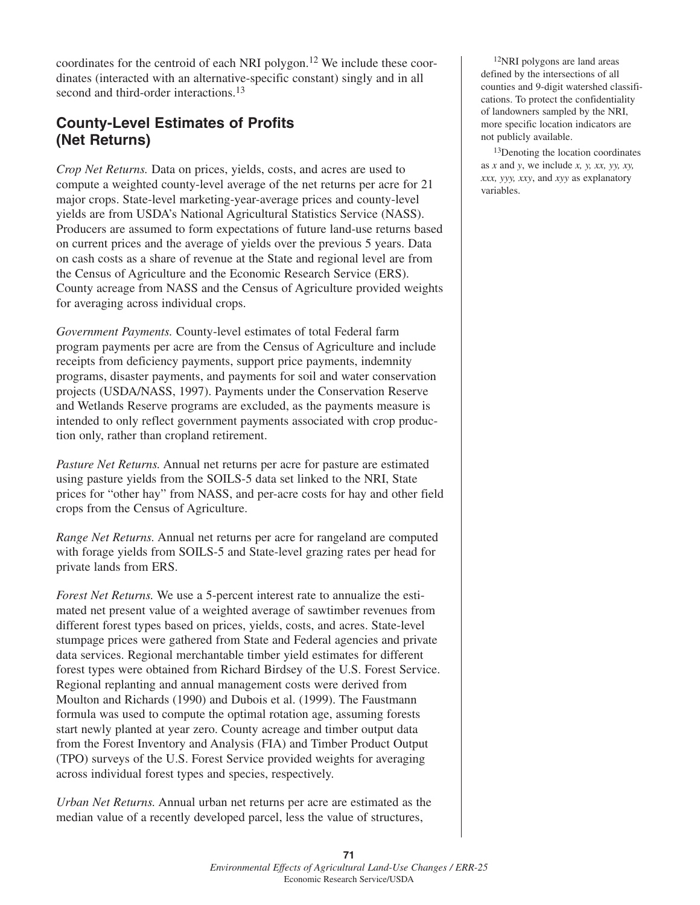coordinates for the centroid of each NRI polygon.<sup>12</sup> We include these coordinates (interacted with an alternative-specific constant) singly and in all second and third-order interactions.<sup>13</sup>

## **County-Level Estimates of Profits (Net Returns)**

*Crop Net Returns.* Data on prices, yields, costs, and acres are used to compute a weighted county-level average of the net returns per acre for 21 major crops. State-level marketing-year-average prices and county-level yields are from USDA's National Agricultural Statistics Service (NASS). Producers are assumed to form expectations of future land-use returns based on current prices and the average of yields over the previous 5 years. Data on cash costs as a share of revenue at the State and regional level are from the Census of Agriculture and the Economic Research Service (ERS). County acreage from NASS and the Census of Agriculture provided weights for averaging across individual crops.

*Government Payments.* County-level estimates of total Federal farm program payments per acre are from the Census of Agriculture and include receipts from deficiency payments, support price payments, indemnity programs, disaster payments, and payments for soil and water conservation projects (USDA/NASS, 1997). Payments under the Conservation Reserve and Wetlands Reserve programs are excluded, as the payments measure is intended to only reflect government payments associated with crop production only, rather than cropland retirement.

*Pasture Net Returns.* Annual net returns per acre for pasture are estimated using pasture yields from the SOILS-5 data set linked to the NRI, State prices for "other hay" from NASS, and per-acre costs for hay and other field crops from the Census of Agriculture.

*Range Net Returns.* Annual net returns per acre for rangeland are computed with forage yields from SOILS-5 and State-level grazing rates per head for private lands from ERS.

*Forest Net Returns.* We use a 5-percent interest rate to annualize the estimated net present value of a weighted average of sawtimber revenues from different forest types based on prices, yields, costs, and acres. State-level stumpage prices were gathered from State and Federal agencies and private data services. Regional merchantable timber yield estimates for different forest types were obtained from Richard Birdsey of the U.S. Forest Service. Regional replanting and annual management costs were derived from Moulton and Richards (1990) and Dubois et al. (1999). The Faustmann formula was used to compute the optimal rotation age, assuming forests start newly planted at year zero. County acreage and timber output data from the Forest Inventory and Analysis (FIA) and Timber Product Output (TPO) surveys of the U.S. Forest Service provided weights for averaging across individual forest types and species, respectively.

*Urban Net Returns.* Annual urban net returns per acre are estimated as the median value of a recently developed parcel, less the value of structures,

12NRI polygons are land areas defined by the intersections of all counties and 9-digit watershed classifications. To protect the confidentiality of landowners sampled by the NRI, more specific location indicators are not publicly available.

<sup>13</sup>Denoting the location coordinates as *x* and *y*, we include *x, y, xx, yy, xy, xxx, yyy, xxy*, and *xyy* as explanatory variables.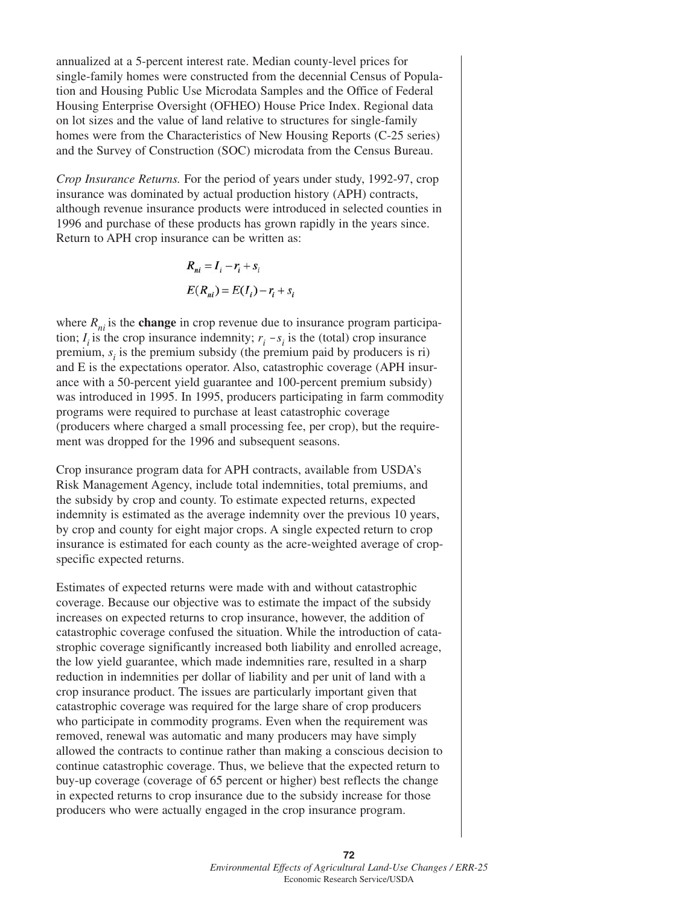annualized at a 5-percent interest rate. Median county-level prices for single-family homes were constructed from the decennial Census of Population and Housing Public Use Microdata Samples and the Office of Federal Housing Enterprise Oversight (OFHEO) House Price Index. Regional data on lot sizes and the value of land relative to structures for single-family homes were from the Characteristics of New Housing Reports (C-25 series) and the Survey of Construction (SOC) microdata from the Census Bureau.

*Crop Insurance Returns.* For the period of years under study, 1992-97, crop insurance was dominated by actual production history (APH) contracts, although revenue insurance products were introduced in selected counties in 1996 and purchase of these products has grown rapidly in the years since. Return to APH crop insurance can be written as:

$$
R_{ni} = I_i - r_i + s_i
$$
  

$$
E(R_{ni}) = E(I_i) - r_i + s_i
$$

where  $R_{ni}$  is the **change** in crop revenue due to insurance program participation;  $I_i$  is the crop insurance indemnity;  $r_i - s_i$  is the (total) crop insurance premium,  $s_i$  is the premium subsidy (the premium paid by producers is ri) and E is the expectations operator. Also, catastrophic coverage (APH insurance with a 50-percent yield guarantee and 100-percent premium subsidy) was introduced in 1995. In 1995, producers participating in farm commodity programs were required to purchase at least catastrophic coverage (producers where charged a small processing fee, per crop), but the requirement was dropped for the 1996 and subsequent seasons.

Crop insurance program data for APH contracts, available from USDA's Risk Management Agency, include total indemnities, total premiums, and the subsidy by crop and county. To estimate expected returns, expected indemnity is estimated as the average indemnity over the previous 10 years, by crop and county for eight major crops. A single expected return to crop insurance is estimated for each county as the acre-weighted average of cropspecific expected returns.

Estimates of expected returns were made with and without catastrophic coverage. Because our objective was to estimate the impact of the subsidy increases on expected returns to crop insurance, however, the addition of catastrophic coverage confused the situation. While the introduction of catastrophic coverage significantly increased both liability and enrolled acreage, the low yield guarantee, which made indemnities rare, resulted in a sharp reduction in indemnities per dollar of liability and per unit of land with a crop insurance product. The issues are particularly important given that catastrophic coverage was required for the large share of crop producers who participate in commodity programs. Even when the requirement was removed, renewal was automatic and many producers may have simply allowed the contracts to continue rather than making a conscious decision to continue catastrophic coverage. Thus, we believe that the expected return to buy-up coverage (coverage of 65 percent or higher) best reflects the change in expected returns to crop insurance due to the subsidy increase for those producers who were actually engaged in the crop insurance program.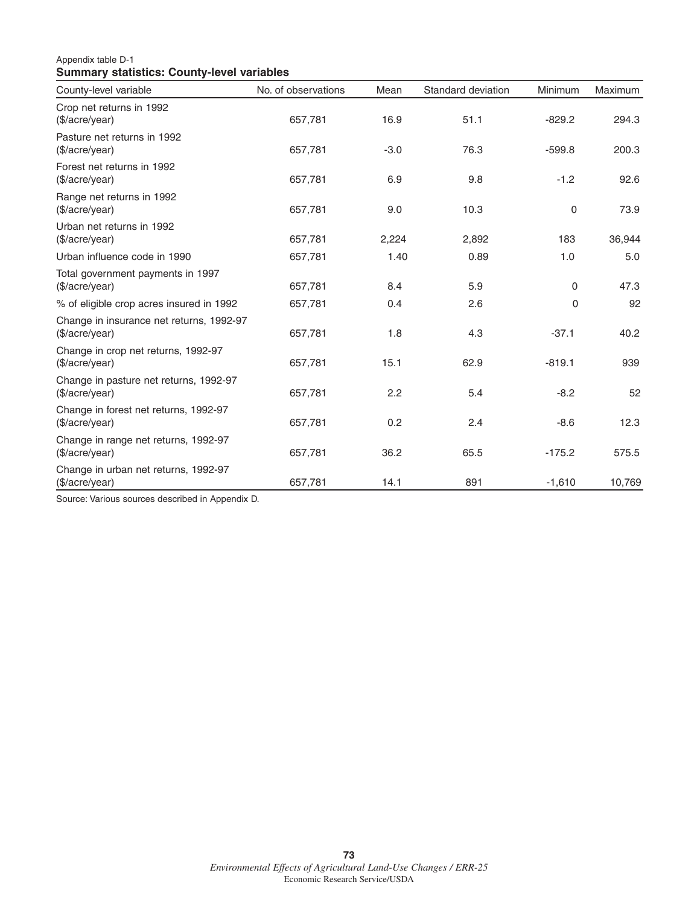#### Appendix table D-1 **Summary statistics: County-level variables**

| County-level variable                                      | No. of observations | Mean   | Standard deviation | Minimum      | <b>Maximum</b> |
|------------------------------------------------------------|---------------------|--------|--------------------|--------------|----------------|
| Crop net returns in 1992<br>(\$/acre/year)                 | 657,781             | 16.9   | 51.1               | $-829.2$     | 294.3          |
| Pasture net returns in 1992<br>(\$/acre/year)              | 657,781             | $-3.0$ | 76.3               | $-599.8$     | 200.3          |
| Forest net returns in 1992<br>(\$/acre/year)               | 657,781             | 6.9    | 9.8                | $-1.2$       | 92.6           |
| Range net returns in 1992<br>(\$/acre/year)                | 657,781             | 9.0    | 10.3               | 0            | 73.9           |
| Urban net returns in 1992<br>(\$/acre/year)                | 657,781             | 2,224  | 2,892              | 183          | 36,944         |
| Urban influence code in 1990                               | 657,781             | 1.40   | 0.89               | 1.0          | 5.0            |
| Total government payments in 1997<br>(\$/acre/year)        | 657,781             | 8.4    | 5.9                | $\mathbf{0}$ | 47.3           |
| % of eligible crop acres insured in 1992                   | 657,781             | 0.4    | 2.6                | 0            | 92             |
| Change in insurance net returns, 1992-97<br>(\$/acre/year) | 657,781             | 1.8    | 4.3                | $-37.1$      | 40.2           |
| Change in crop net returns, 1992-97<br>(\$/acre/year)      | 657,781             | 15.1   | 62.9               | $-819.1$     | 939            |
| Change in pasture net returns, 1992-97<br>(\$/acre/year)   | 657,781             | 2.2    | 5.4                | $-8.2$       | 52             |
| Change in forest net returns, 1992-97<br>(\$/acre/year)    | 657,781             | 0.2    | 2.4                | $-8.6$       | 12.3           |
| Change in range net returns, 1992-97<br>(\$/acre/year)     | 657,781             | 36.2   | 65.5               | $-175.2$     | 575.5          |
| Change in urban net returns, 1992-97<br>(\$/acre/year)     | 657,781             | 14.1   | 891                | $-1,610$     | 10,769         |

Source: Various sources described in Appendix D.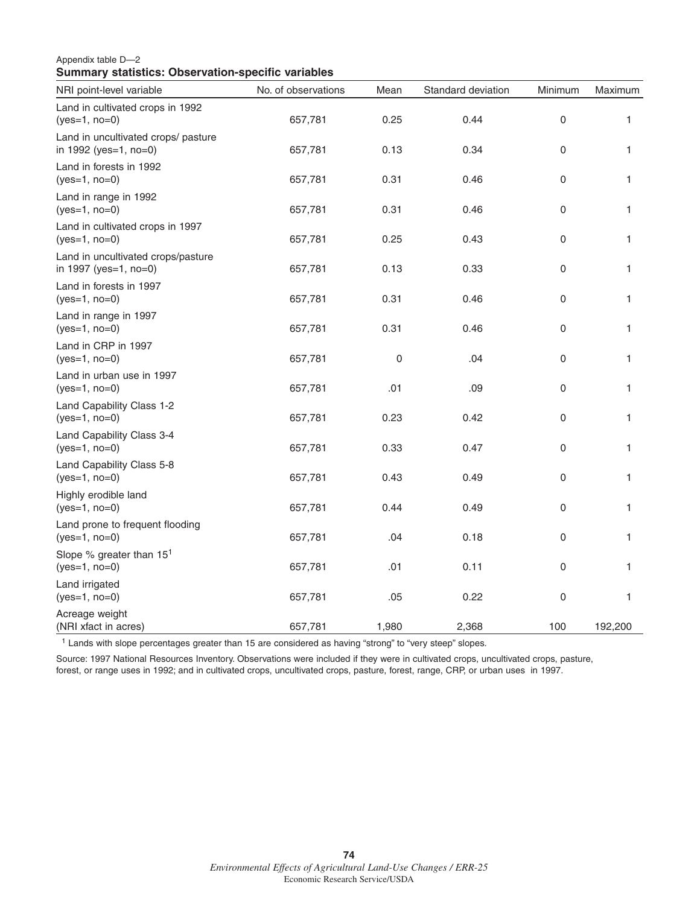#### Appendix table D—2 **Summary statistics: Observation-specific variables**

| NRI point-level variable                                     | No. of observations | Mean  | Standard deviation | Minimum | Maximum |
|--------------------------------------------------------------|---------------------|-------|--------------------|---------|---------|
| Land in cultivated crops in 1992<br>$(yes=1, no=0)$          | 657,781             | 0.25  | 0.44               | 0       | 1.      |
| Land in uncultivated crops/ pasture<br>in 1992 (yes=1, no=0) | 657,781             | 0.13  | 0.34               | 0       | 1       |
| Land in forests in 1992<br>$(yes=1, no=0)$                   | 657,781             | 0.31  | 0.46               | 0       | 1       |
| Land in range in 1992<br>$(yes=1, no=0)$                     | 657,781             | 0.31  | 0.46               | 0       | 1       |
| Land in cultivated crops in 1997<br>$(yes=1, no=0)$          | 657,781             | 0.25  | 0.43               | 0       | 1       |
| Land in uncultivated crops/pasture<br>in 1997 (yes=1, no=0)  | 657,781             | 0.13  | 0.33               | 0       | 1       |
| Land in forests in 1997<br>$(yes=1, no=0)$                   | 657,781             | 0.31  | 0.46               | 0       | 1.      |
| Land in range in 1997<br>$(yes=1, no=0)$                     | 657,781             | 0.31  | 0.46               | 0       | 1.      |
| Land in CRP in 1997<br>$(yes=1, no=0)$                       | 657,781             | 0     | .04                | 0       | 1       |
| Land in urban use in 1997<br>$(yes=1, no=0)$                 | 657,781             | .01   | .09                | 0       | 1       |
| Land Capability Class 1-2<br>$(yes=1, no=0)$                 | 657,781             | 0.23  | 0.42               | 0       | 1       |
| Land Capability Class 3-4<br>$(yes=1, no=0)$                 | 657,781             | 0.33  | 0.47               | 0       | 1       |
| Land Capability Class 5-8<br>$(yes=1, no=0)$                 | 657,781             | 0.43  | 0.49               | 0       | 1       |
| Highly erodible land<br>$(yes=1, no=0)$                      | 657,781             | 0.44  | 0.49               | 0       | 1       |
| Land prone to frequent flooding<br>$(yes=1, no=0)$           | 657,781             | .04   | 0.18               | 0       | 1       |
| Slope % greater than 15 <sup>1</sup><br>$(yes=1, no=0)$      | 657,781             | .01   | 0.11               | 0       | 1       |
| Land irrigated<br>$(yes=1, no=0)$                            | 657,781             | .05   | 0.22               | 0       | 1       |
| Acreage weight<br>(NRI xfact in acres)                       | 657,781             | 1,980 | 2,368              | 100     | 192,200 |

<sup>1</sup> Lands with slope percentages greater than 15 are considered as having "strong" to "very steep" slopes.

Source: 1997 National Resources Inventory. Observations were included if they were in cultivated crops, uncultivated crops, pasture, forest, or range uses in 1992; and in cultivated crops, uncultivated crops, pasture, forest, range, CRP, or urban uses in 1997.